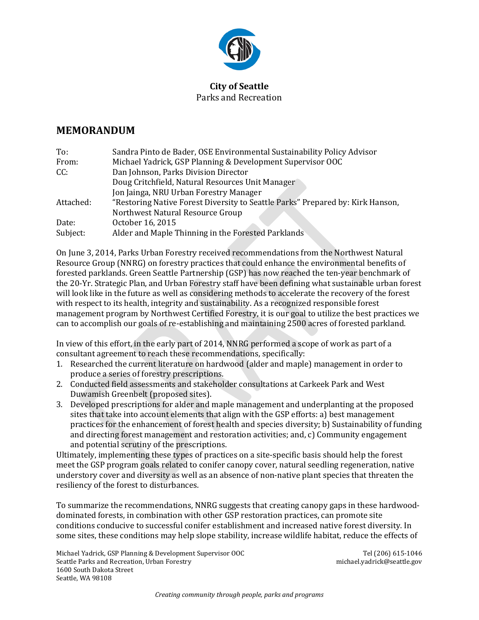

## **City of Seattle** Parks and Recreation

## **MEMORANDUM**

| To:       | Sandra Pinto de Bader, OSE Environmental Sustainability Policy Advisor         |
|-----------|--------------------------------------------------------------------------------|
| From:     | Michael Yadrick, GSP Planning & Development Supervisor OOC                     |
| CC:       | Dan Johnson, Parks Division Director                                           |
|           | Doug Critchfield, Natural Resources Unit Manager                               |
|           | Jon Jainga, NRU Urban Forestry Manager                                         |
| Attached: | "Restoring Native Forest Diversity to Seattle Parks" Prepared by: Kirk Hanson, |
|           | Northwest Natural Resource Group                                               |
| Date:     | October 16, 2015                                                               |
| Subject:  | Alder and Maple Thinning in the Forested Parklands                             |
|           |                                                                                |

On June 3, 2014, Parks Urban Forestry received recommendations from the Northwest Natural Resource Group (NNRG) on forestry practices that could enhance the environmental benefits of forested parklands. Green Seattle Partnership (GSP) has now reached the ten-year benchmark of the 20-Yr. Strategic Plan, and Urban Forestry staff have been defining what sustainable urban forest will look like in the future as well as considering methods to accelerate the recovery of the forest with respect to its health, integrity and sustainability. As a recognized responsible forest management program by Northwest Certified Forestry, it is our goal to utilize the best practices we can to accomplish our goals of re-establishing and maintaining 2500 acres of forested parkland.

In view of this effort, in the early part of 2014, NNRG performed a scope of work as part of a consultant agreement to reach these recommendations, specifically:

- 1. Researched the current literature on hardwood (alder and maple) management in order to produce a series of forestry prescriptions.
- 2. Conducted field assessments and stakeholder consultations at Carkeek Park and West Duwamish Greenbelt (proposed sites).
- 3. Developed prescriptions for alder and maple management and underplanting at the proposed sites that take into account elements that align with the GSP efforts: a) best management practices for the enhancement of forest health and species diversity; b) Sustainability of funding and directing forest management and restoration activities; and, c) Community engagement and potential scrutiny of the prescriptions.

Ultimately, implementing these types of practices on a site-specific basis should help the forest meet the GSP program goals related to conifer canopy cover, natural seedling regeneration, native understory cover and diversity as well as an absence of non-native plant species that threaten the resiliency of the forest to disturbances.

To summarize the recommendations, NNRG suggests that creating canopy gaps in these hardwooddominated forests, in combination with other GSP restoration practices, can promote site conditions conducive to successful conifer establishment and increased native forest diversity. In some sites, these conditions may help slope stability, increase wildlife habitat, reduce the effects of

Michael Yadrick, GSP Planning & Development Supervisor OOC  $\qquad \qquad$  Tel (206) 615-1046<br>Seattle Parks and Recreation, Urban Forestry Seattle Parks and Recreation, Urban Forestry 1600 South Dakota Street Seattle, WA 98108